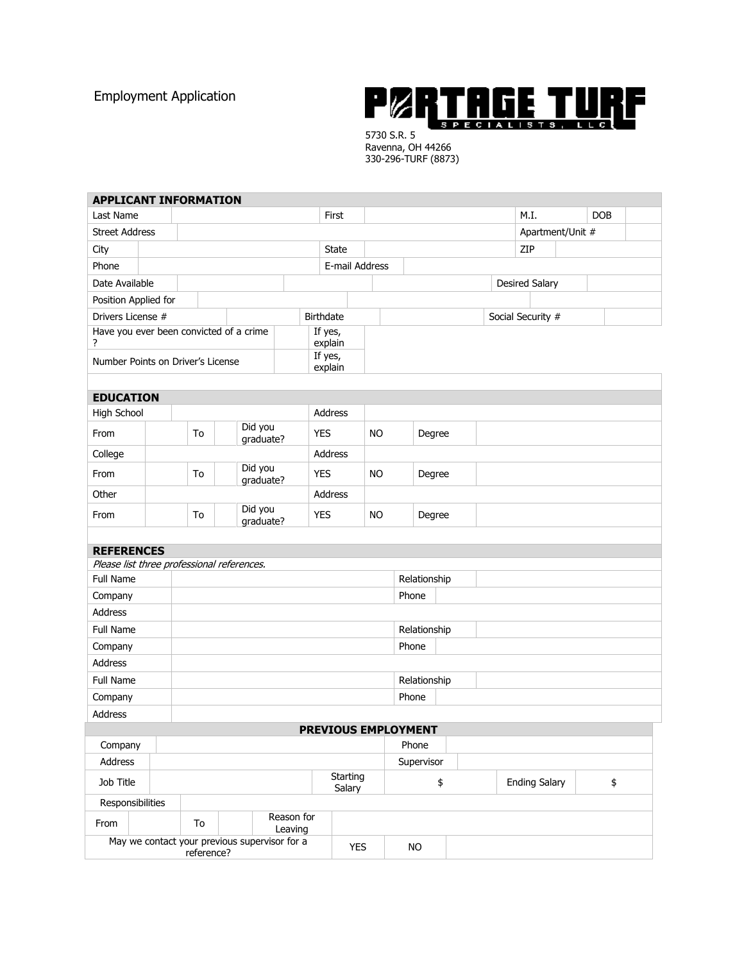Employment Application



5730 S.R. 5 Ravenna, OH 44266 330-296-TURF (8873)

| <b>APPLICANT INFORMATION</b>                                            |  |                             |  |                      |                         |                    |                            |              |              |        |                      |                   |                       |            |  |  |  |
|-------------------------------------------------------------------------|--|-----------------------------|--|----------------------|-------------------------|--------------------|----------------------------|--------------|--------------|--------|----------------------|-------------------|-----------------------|------------|--|--|--|
| Last Name                                                               |  |                             |  |                      |                         | First              |                            |              |              |        | M.I.<br><b>DOB</b>   |                   |                       |            |  |  |  |
| <b>Street Address</b>                                                   |  |                             |  |                      |                         |                    |                            |              |              |        |                      |                   | Apartment/Unit #      |            |  |  |  |
| City                                                                    |  |                             |  |                      |                         |                    | State                      |              |              |        |                      |                   | ZIP                   |            |  |  |  |
| Phone                                                                   |  |                             |  |                      |                         |                    | E-mail Address             |              |              |        |                      |                   |                       |            |  |  |  |
| Date Available                                                          |  |                             |  |                      |                         |                    |                            |              |              |        |                      |                   | <b>Desired Salary</b> |            |  |  |  |
| Position Applied for                                                    |  |                             |  |                      |                         |                    |                            |              |              |        |                      |                   |                       |            |  |  |  |
| Drivers License #<br><b>Birthdate</b>                                   |  |                             |  |                      |                         |                    |                            |              |              |        |                      | Social Security # |                       |            |  |  |  |
| Have you ever been convicted of a crime<br>?                            |  |                             |  |                      |                         | If yes,<br>explain |                            |              |              |        |                      |                   |                       |            |  |  |  |
| Number Points on Driver's License                                       |  |                             |  |                      | If yes,<br>explain      |                    |                            |              |              |        |                      |                   |                       |            |  |  |  |
|                                                                         |  |                             |  |                      |                         |                    |                            |              |              |        |                      |                   |                       |            |  |  |  |
| <b>EDUCATION</b><br>High School<br>Address                              |  |                             |  |                      |                         |                    |                            |              |              |        |                      |                   |                       |            |  |  |  |
|                                                                         |  |                             |  | Did you              |                         |                    |                            |              |              |        |                      |                   |                       |            |  |  |  |
| From                                                                    |  | To                          |  |                      | <b>YES</b><br>graduate? |                    |                            | <b>NO</b>    |              | Degree |                      |                   |                       |            |  |  |  |
| College                                                                 |  |                             |  |                      |                         | Address            |                            |              |              |        |                      |                   |                       |            |  |  |  |
| From                                                                    |  | To                          |  | Did you<br>graduate? |                         | <b>YES</b>         |                            | <b>NO</b>    |              | Degree |                      |                   |                       |            |  |  |  |
| Other                                                                   |  |                             |  |                      |                         | Address            |                            |              |              |        |                      |                   |                       |            |  |  |  |
| From                                                                    |  | Did you<br>To<br>graduate?  |  |                      |                         | <b>YES</b>         |                            | <b>NO</b>    | Degree       |        |                      |                   |                       |            |  |  |  |
|                                                                         |  |                             |  |                      |                         |                    |                            |              |              |        |                      |                   |                       |            |  |  |  |
| <b>REFERENCES</b>                                                       |  |                             |  |                      |                         |                    |                            |              |              |        |                      |                   |                       |            |  |  |  |
| Please list three professional references.<br>Full Name<br>Relationship |  |                             |  |                      |                         |                    |                            |              |              |        |                      |                   |                       |            |  |  |  |
| Company                                                                 |  |                             |  |                      |                         | Phone              |                            |              |              |        |                      |                   |                       |            |  |  |  |
| <b>Address</b>                                                          |  |                             |  |                      |                         |                    |                            |              |              |        |                      |                   |                       |            |  |  |  |
| Full Name                                                               |  |                             |  |                      |                         |                    |                            | Relationship |              |        |                      |                   |                       |            |  |  |  |
| Company                                                                 |  |                             |  |                      |                         |                    |                            | Phone        |              |        |                      |                   |                       |            |  |  |  |
| <b>Address</b>                                                          |  |                             |  |                      |                         |                    |                            |              |              |        |                      |                   |                       |            |  |  |  |
| <b>Full Name</b>                                                        |  |                             |  |                      |                         |                    |                            |              | Relationship |        |                      |                   |                       |            |  |  |  |
| Company                                                                 |  |                             |  |                      |                         | Phone              |                            |              |              |        |                      |                   |                       |            |  |  |  |
| <b>Address</b>                                                          |  |                             |  |                      |                         |                    |                            |              |              |        |                      |                   |                       |            |  |  |  |
|                                                                         |  |                             |  |                      |                         |                    | <b>PREVIOUS EMPLOYMENT</b> |              |              |        |                      |                   |                       |            |  |  |  |
| Company                                                                 |  |                             |  |                      |                         |                    | Phone                      |              |              |        |                      |                   |                       |            |  |  |  |
| Address                                                                 |  |                             |  |                      | Supervisor              |                    |                            |              |              |        |                      |                   |                       |            |  |  |  |
| Job Title                                                               |  |                             |  |                      | Starting<br>Salary      | \$                 |                            |              |              |        | <b>Ending Salary</b> |                   |                       | $\pmb{\$}$ |  |  |  |
| Responsibilities                                                        |  |                             |  |                      |                         |                    |                            |              |              |        |                      |                   |                       |            |  |  |  |
| From                                                                    |  | Reason for<br>To<br>Leaving |  |                      |                         |                    |                            |              |              |        |                      |                   |                       |            |  |  |  |
| May we contact your previous supervisor for a<br>reference?             |  |                             |  |                      |                         | <b>YES</b>         |                            | <b>NO</b>    |              |        |                      |                   |                       |            |  |  |  |